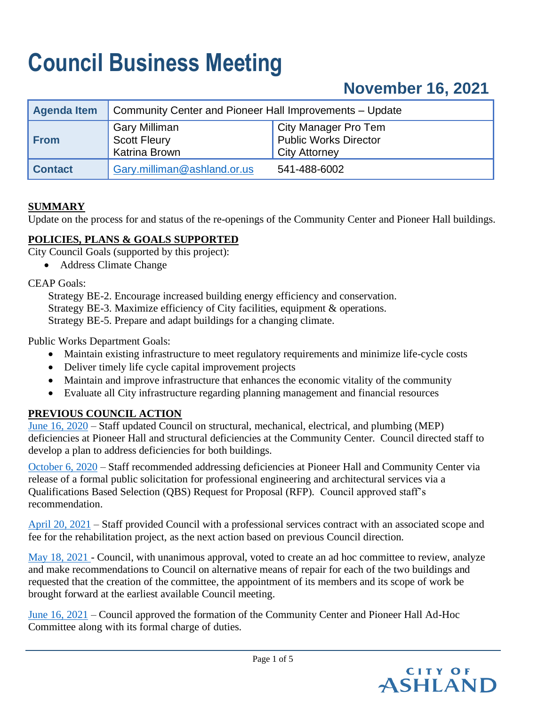# **Council Business Meeting**

# **November 16, 2021**

| Agenda Item    | Community Center and Pioneer Hall Improvements – Update      |                                                                              |  |
|----------------|--------------------------------------------------------------|------------------------------------------------------------------------------|--|
| From           | <b>Gary Milliman</b><br><b>Scott Fleury</b><br>Katrina Brown | City Manager Pro Tem<br><b>Public Works Director</b><br><b>City Attorney</b> |  |
| <b>Contact</b> | Gary.milliman@ashland.or.us                                  | 541-488-6002                                                                 |  |

#### **SUMMARY**

Update on the process for and status of the re-openings of the Community Center and Pioneer Hall buildings.

#### **POLICIES, PLANS & GOALS SUPPORTED**

City Council Goals (supported by this project):

• Address Climate Change

CEAP Goals:

Strategy BE-2. Encourage increased building energy efficiency and conservation. Strategy BE-3. Maximize efficiency of City facilities, equipment  $\&$  operations. Strategy BE-5. Prepare and adapt buildings for a changing climate.

Public Works Department Goals:

- Maintain existing infrastructure to meet regulatory requirements and minimize life-cycle costs
- Deliver timely life cycle capital improvement projects
- Maintain and improve infrastructure that enhances the economic vitality of the community
- Evaluate all City infrastructure regarding planning management and financial resources

### **PREVIOUS COUNCIL ACTION**

[June 16, 2020](https://www.ashland.or.us/SIB/files/061620_CItyHall_FacilitiesUpdate_CCFinal.pdf) – Staff updated Council on structural, mechanical, electrical, and plumbing (MEP) deficiencies at Pioneer Hall and structural deficiencies at the Community Center. Council directed staff to develop a plan to address deficiencies for both buildings.

[October 6, 2020](https://www.ashland.or.us/SIB/files/100620_PioneerHallCommCenterUpdate_CCFinal.pdf) – Staff recommended addressing deficiencies at Pioneer Hall and Community Center via release of a formal public solicitation for professional engineering and architectural services via a Qualifications Based Selection (QBS) Request for Proposal (RFP). Council approved staff's recommendation.

[April 20, 2021](https://www.ashland.or.us/SIB/files/042021_Approval_ProfessionalServicesContract_PioneerHall_CommunityCenter_CCFinal.pdf) – Staff provided Council with a professional services contract with an associated scope and fee for the rehabilitation project, as the next action based on previous Council direction.

[May 18, 2021 -](https://www.ashland.or.us/SIB/files/051821_Approval_ProfessionalServicesContract_PioneerHall_CommunityCenter_Update_CCFinal.pdf) Council, with unanimous approval, voted to create an ad hoc committee to review, analyze and make recommendations to Council on alternative means of repair for each of the two buildings and requested that the creation of the committee, the appointment of its members and its scope of work be brought forward at the earliest available Council meeting.

[June 16, 2021](https://www.ashland.or.us/SIB/files/061521_CommunityCenter_AdHocCommittee_CC2.pdf) – Council approved the formation of the Community Center and Pioneer Hall Ad-Hoc Committee along with its formal charge of duties.

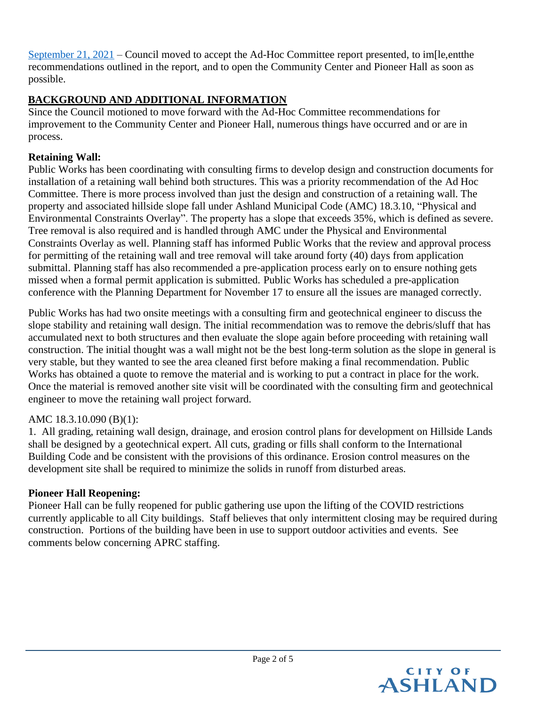[September 21, 2021](https://www.ashland.or.us/SIB/files/09_21_2021_Community_Center_and_Pioneer_Hall_Ad-Hoc_Committee_Recommendations_FINAL(1).pdf) – Council moved to accept the Ad-Hoc Committee report presented, to im[le,entthe recommendations outlined in the report, and to open the Community Center and Pioneer Hall as soon as possible.

# **BACKGROUND AND ADDITIONAL INFORMATION**

Since the Council motioned to move forward with the Ad-Hoc Committee recommendations for improvement to the Community Center and Pioneer Hall, numerous things have occurred and or are in process.

# **Retaining Wall:**

Public Works has been coordinating with consulting firms to develop design and construction documents for installation of a retaining wall behind both structures. This was a priority recommendation of the Ad Hoc Committee. There is more process involved than just the design and construction of a retaining wall. The property and associated hillside slope fall under Ashland Municipal Code (AMC) 18.3.10, "Physical and Environmental Constraints Overlay". The property has a slope that exceeds 35%, which is defined as severe. Tree removal is also required and is handled through AMC under the Physical and Environmental Constraints Overlay as well. Planning staff has informed Public Works that the review and approval process for permitting of the retaining wall and tree removal will take around forty (40) days from application submittal. Planning staff has also recommended a pre-application process early on to ensure nothing gets missed when a formal permit application is submitted. Public Works has scheduled a pre-application conference with the Planning Department for November 17 to ensure all the issues are managed correctly.

Public Works has had two onsite meetings with a consulting firm and geotechnical engineer to discuss the slope stability and retaining wall design. The initial recommendation was to remove the debris/sluff that has accumulated next to both structures and then evaluate the slope again before proceeding with retaining wall construction. The initial thought was a wall might not be the best long-term solution as the slope in general is very stable, but they wanted to see the area cleaned first before making a final recommendation. Public Works has obtained a quote to remove the material and is working to put a contract in place for the work. Once the material is removed another site visit will be coordinated with the consulting firm and geotechnical engineer to move the retaining wall project forward.

### AMC 18.3.10.090 (B)(1):

1. All grading, retaining wall design, drainage, and erosion control plans for development on Hillside Lands shall be designed by a geotechnical expert. All cuts, grading or fills shall conform to the International Building Code and be consistent with the provisions of this ordinance. Erosion control measures on the development site shall be required to minimize the solids in runoff from disturbed areas.

### **Pioneer Hall Reopening:**

Pioneer Hall can be fully reopened for public gathering use upon the lifting of the COVID restrictions currently applicable to all City buildings. Staff believes that only intermittent closing may be required during construction. Portions of the building have been in use to support outdoor activities and events. See comments below concerning APRC staffing.

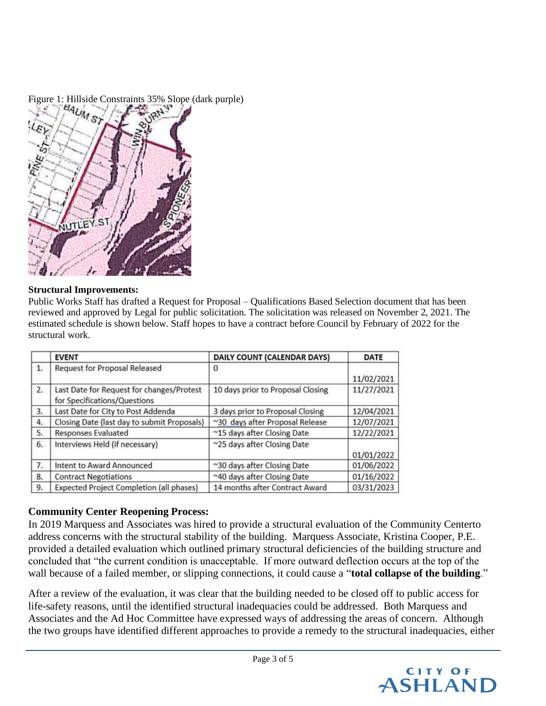

#### **Structural Improvements:**

Public Works Staff has drafted a Request for Proposal – Qualifications Based Selection document that has been reviewed and approved by Legal for public solicitation. The solicitation was released on November 2, 2021. The estimated schedule is shown below. Staff hopes to have a contract before Council by February of 2022 for the structural work.

|    | <b>EVENT</b>                                                              | DAILY COUNT (CALENDAR DAYS)       | DATE       |
|----|---------------------------------------------------------------------------|-----------------------------------|------------|
| 1. | <b>Request for Proposal Released</b>                                      | 0                                 |            |
|    |                                                                           |                                   | 11/02/2021 |
| 2. | Last Date for Request for changes/Protest<br>for Specifications/Questions | 10 days prior to Proposal Closing | 11/27/2021 |
| 3. | Last Date for City to Post Addenda                                        | 3 days prior to Proposal Closing  | 12/04/2021 |
| 4. | Closing Date (last day to submit Proposals)                               | ~30 days after Proposal Release   | 12/07/2021 |
| 5. | <b>Responses Evaluated</b>                                                | ~15 days after Closing Date       | 12/22/2021 |
| 6. | Interviews Held (if necessary)                                            | ~25 days after Closing Date       | 01/01/2022 |
| 7. | Intent to Award Announced                                                 | ~30 days after Closing Date       | 01/06/2022 |
| 8. | <b>Contract Negotiations</b>                                              | ~40 days after Closing Date       | 01/16/2022 |
| 9. | Expected Project Completion (all phases)                                  | 14 months after Contract Award    | 03/31/2023 |

### **Community Center Reopening Process:**

In 2019 Marquess and Associates was hired to provide a structural evaluation of the Community Centerto address concerns with the structural stability of the building. Marquess Associate, Kristina Cooper, P.E. provided a detailed evaluation which outlined primary structural deficiencies of the building structure and concluded that "the current condition is unacceptable. If more outward deflection occurs at the top of the wall because of a failed member, or slipping connections, it could cause a "**total collapse of the building**."

After a review of the evaluation, it was clear that the building needed to be closed off to public access for life-safety reasons, until the identified structural inadequacies could be addressed. Both Marquess and Associates and the Ad Hoc Committee have expressed ways of addressing the areas of concern. Although the two groups have identified different approaches to provide a remedy to the structural inadequacies, either

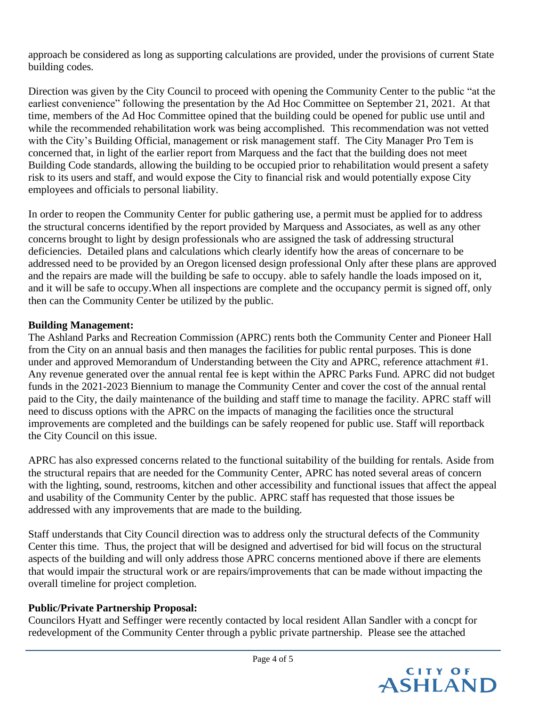approach be considered as long as supporting calculations are provided, under the provisions of current State building codes.

Direction was given by the City Council to proceed with opening the Community Center to the public "at the earliest convenience" following the presentation by the Ad Hoc Committee on September 21, 2021. At that time, members of the Ad Hoc Committee opined that the building could be opened for public use until and while the recommended rehabilitation work was being accomplished. This recommendation was not vetted with the City's Building Official, management or risk management staff. The City Manager Pro Tem is concerned that, in light of the earlier report from Marquess and the fact that the building does not meet Building Code standards, allowing the building to be occupied prior to rehabilitation would present a safety risk to its users and staff, and would expose the City to financial risk and would potentially expose City employees and officials to personal liability.

In order to reopen the Community Center for public gathering use, a permit must be applied for to address the structural concerns identified by the report provided by Marquess and Associates, as well as any other concerns brought to light by design professionals who are assigned the task of addressing structural deficiencies. Detailed plans and calculations which clearly identify how the areas of concernare to be addressed need to be provided by an Oregon licensed design professional Only after these plans are approved and the repairs are made will the building be safe to occupy. able to safely handle the loads imposed on it, and it will be safe to occupy.When all inspections are complete and the occupancy permit is signed off, only then can the Community Center be utilized by the public.

# **Building Management:**

The Ashland Parks and Recreation Commission (APRC) rents both the Community Center and Pioneer Hall from the City on an annual basis and then manages the facilities for public rental purposes. This is done under and approved Memorandum of Understanding between the City and APRC, reference attachment #1. Any revenue generated over the annual rental fee is kept within the APRC Parks Fund. APRC did not budget funds in the 2021-2023 Biennium to manage the Community Center and cover the cost of the annual rental paid to the City, the daily maintenance of the building and staff time to manage the facility. APRC staff will need to discuss options with the APRC on the impacts of managing the facilities once the structural improvements are completed and the buildings can be safely reopened for public use. Staff will reportback the City Council on this issue.

APRC has also expressed concerns related to the functional suitability of the building for rentals. Aside from the structural repairs that are needed for the Community Center, APRC has noted several areas of concern with the lighting, sound, restrooms, kitchen and other accessibility and functional issues that affect the appeal and usability of the Community Center by the public. APRC staff has requested that those issues be addressed with any improvements that are made to the building.

Staff understands that City Council direction was to address only the structural defects of the Community Center this time. Thus, the project that will be designed and advertised for bid will focus on the structural aspects of the building and will only address those APRC concerns mentioned above if there are elements that would impair the structural work or are repairs/improvements that can be made without impacting the overall timeline for project completion.

### **Public/Private Partnership Proposal:**

Councilors Hyatt and Seffinger were recently contacted by local resident Allan Sandler with a concpt for redevelopment of the Community Center through a pyblic private partnership. Please see the attached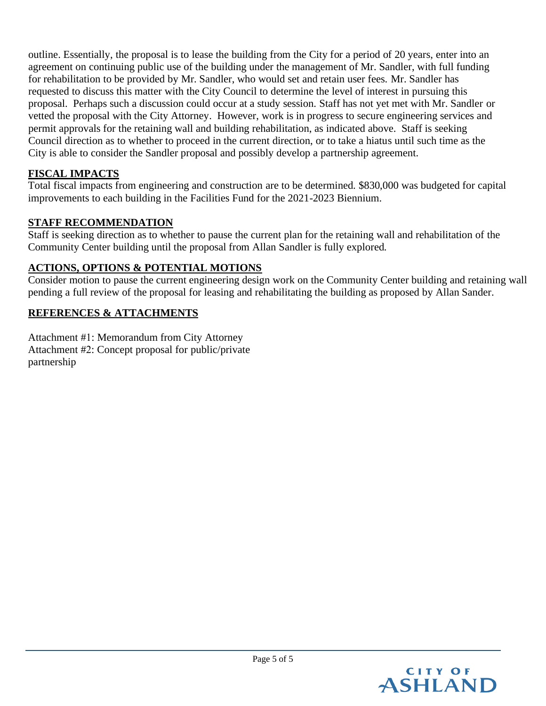outline. Essentially, the proposal is to lease the building from the City for a period of 20 years, enter into an agreement on continuing public use of the building under the management of Mr. Sandler, with full funding for rehabilitation to be provided by Mr. Sandler, who would set and retain user fees. Mr. Sandler has requested to discuss this matter with the City Council to determine the level of interest in pursuing this proposal. Perhaps such a discussion could occur at a study session. Staff has not yet met with Mr. Sandler or vetted the proposal with the City Attorney. However, work is in progress to secure engineering services and permit approvals for the retaining wall and building rehabilitation, as indicated above. Staff is seeking Council direction as to whether to proceed in the current direction, or to take a hiatus until such time as the City is able to consider the Sandler proposal and possibly develop a partnership agreement.

# **FISCAL IMPACTS**

Total fiscal impacts from engineering and construction are to be determined. \$830,000 was budgeted for capital improvements to each building in the Facilities Fund for the 2021-2023 Biennium.

#### **STAFF RECOMMENDATION**

Staff is seeking direction as to whether to pause the current plan for the retaining wall and rehabilitation of the Community Center building until the proposal from Allan Sandler is fully explored.

### **ACTIONS, OPTIONS & POTENTIAL MOTIONS**

Consider motion to pause the current engineering design work on the Community Center building and retaining wall pending a full review of the proposal for leasing and rehabilitating the building as proposed by Allan Sander.

#### **REFERENCES & ATTACHMENTS**

Attachment #1: Memorandum from City Attorney Attachment #2: Concept proposal for public/private partnership

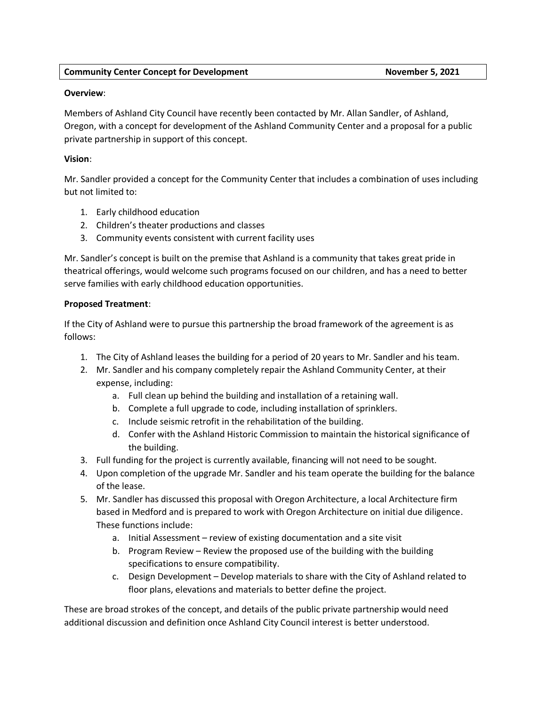#### **Overview**:

Members of Ashland City Council have recently been contacted by Mr. Allan Sandler, of Ashland, Oregon, with a concept for development of the Ashland Community Center and a proposal for a public private partnership in support of this concept.

#### **Vision**:

Mr. Sandler provided a concept for the Community Center that includes a combination of uses including but not limited to:

- 1. Early childhood education
- 2. Children's theater productions and classes
- 3. Community events consistent with current facility uses

Mr. Sandler's concept is built on the premise that Ashland is a community that takes great pride in theatrical offerings, would welcome such programs focused on our children, and has a need to better serve families with early childhood education opportunities.

#### **Proposed Treatment**:

If the City of Ashland were to pursue this partnership the broad framework of the agreement is as follows:

- 1. The City of Ashland leases the building for a period of 20 years to Mr. Sandler and his team.
- 2. Mr. Sandler and his company completely repair the Ashland Community Center, at their expense, including:
	- a. Full clean up behind the building and installation of a retaining wall.
	- b. Complete a full upgrade to code, including installation of sprinklers.
	- c. Include seismic retrofit in the rehabilitation of the building.
	- d. Confer with the Ashland Historic Commission to maintain the historical significance of the building.
- 3. Full funding for the project is currently available, financing will not need to be sought.
- 4. Upon completion of the upgrade Mr. Sandler and his team operate the building for the balance of the lease.
- 5. Mr. Sandler has discussed this proposal with Oregon Architecture, a local Architecture firm based in Medford and is prepared to work with Oregon Architecture on initial due diligence. These functions include:
	- a. Initial Assessment review of existing documentation and a site visit
	- b. Program Review Review the proposed use of the building with the building specifications to ensure compatibility.
	- c. Design Development Develop materials to share with the City of Ashland related to floor plans, elevations and materials to better define the project.

These are broad strokes of the concept, and details of the public private partnership would need additional discussion and definition once Ashland City Council interest is better understood.